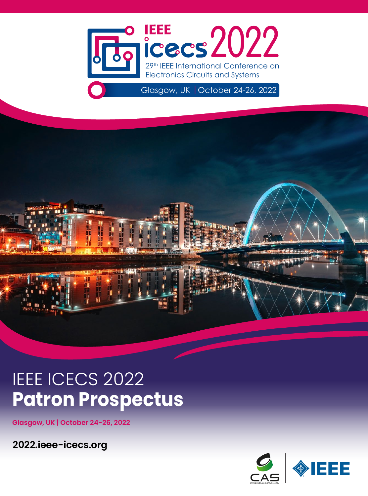



# **IEEE ICECS 2022 Patron Prospectus**

**Glasgow, UK | October 24-26, 2022**

**2022.ieee-icecs.org**

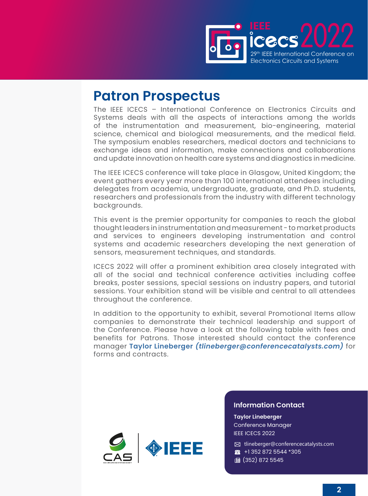

# **Patron Prospectus**

The IEEE ICECS – International Conference on Electronics Circuits and Systems deals with all the aspects of interactions among the worlds of the instrumentation and measurement, bio-engineering, material science, chemical and biological measurements, and the medical field. The symposium enables researchers, medical doctors and technicians to exchange ideas and information, make connections and collaborations and update innovation on health care systems and diagnostics in medicine.

The IEEE ICECS conference will take place in Glasgow, United Kingdom; the event gathers every year more than 100 international attendees including delegates from academia, undergraduate, graduate, and Ph.D. students, researchers and professionals from the industry with different technology backgrounds.

This event is the premier opportunity for companies to reach the global thought leaders in instrumentation and measurement - to market products and services to engineers developing instrumentation and control systems and academic researchers developing the next generation of sensors, measurement techniques, and standards.

ICECS 2022 will offer a prominent exhibition area closely integrated with all of the social and technical conference activities including coffee breaks, poster sessions, special sessions on industry papers, and tutorial sessions. Your exhibition stand will be visible and central to all attendees throughout the conference.

In addition to the opportunity to exhibit, several Promotional Items allow companies to demonstrate their technical leadership and support of the Conference. Please have a look at the following table with fees and benefits for Patrons. Those interested should contact the conference manager **Taylor Lineberger** *([tlineberger@conferencecatalysts.com](mailto:tlineberger%40conferencecatalysts.com?subject=))* for forms and contracts.



#### **Information Contact**

**Taylor Lineberger** Conference Manager IEEE ICECS 2022

✉ [tlineberger@conferencecatalysts.com](mailto:tlineberger%40conferencecatalysts.com?subject=) ☎ +1 352 872 5544 \*305 (352) 872 5545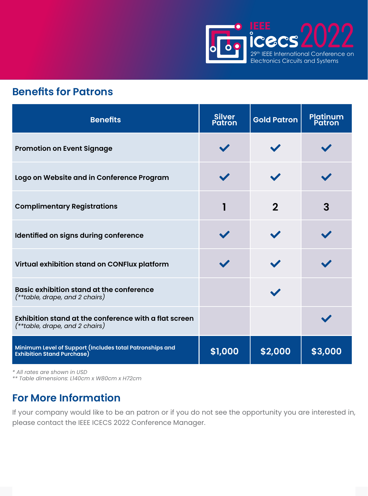

## **Benefits for Patrons**

| <b>Benefits</b>                                                                               | <b>Silver</b><br><b>Patron</b> | <b>Gold Patron</b> | <b>Platinum</b><br>Patron |
|-----------------------------------------------------------------------------------------------|--------------------------------|--------------------|---------------------------|
| <b>Promotion on Event Signage</b>                                                             |                                |                    |                           |
| Logo on Website and in Conference Program                                                     |                                |                    |                           |
| <b>Complimentary Registrations</b>                                                            | 1                              | $\mathbf 2$        | 3                         |
| Identified on signs during conference                                                         |                                |                    |                           |
| Virtual exhibition stand on CONFlux platform                                                  |                                |                    |                           |
| <b>Basic exhibition stand at the conference</b><br>$(**table, drape, and 2 chairs)$           |                                |                    |                           |
| Exhibition stand at the conference with a flat screen<br>$(**table, drape, and 2 chairs)$     |                                |                    |                           |
| Minimum Level of Support (Includes total Patronships and<br><b>Exhibition Stand Purchase)</b> | \$1,000                        | \$2,000            | \$3,000                   |

*\* All rates are shown in USD*

*\*\* Table dimensions: L140cm x W80cm x H72cm*

# **For More Information**

If your company would like to be an patron or if you do not see the opportunity you are interested in, please contact the IEEE ICECS 2022 Conference Manager.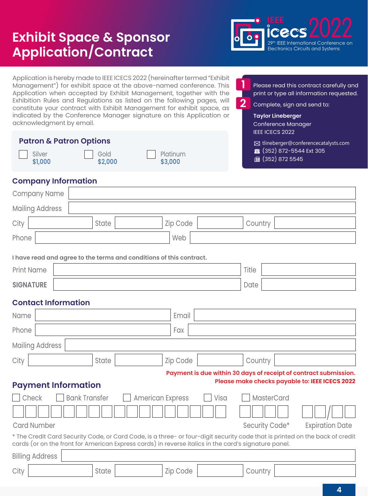# **Exhibit Space & Sponsor Application/Contract**



Application is hereby made to IEEE ICECS 2022 (hereinafter termed "Exhibit Management") for exhibit space at the above-named conference. This Application when accepted by Exhibit Management, together with the Exhibition Rules and Regulations as listed on the following pages, will constitute your contract with Exhibit Management for exhibit space, as indicated by the Conference Manager signature on this Application or acknowledgment by email.

| <b>Patron &amp; Patron Options</b> |      |          |  |  |
|------------------------------------|------|----------|--|--|
| Silver                             | Gold | $\Box$ P |  |  |

**\$2,000**

**Platinum \$3,000**

Please read this contract carefully and print or type all information requested.

Complete, sign and send to:

**Taylor Lineberger**

**2**

**1**

Conference Manager IEEE ICECS 2022

✉ [tlineberger@conferencecatalysts.com](mailto:tlineberger%40conferencecatalysts.com?subject=)

☎ (352) 872-5544 Ext 305

(a) (352) 872 5545

#### **Company Information**

**\$1,000**

| Company Name                                                                                                                                                                                                                         |                                          |  |  |  |
|--------------------------------------------------------------------------------------------------------------------------------------------------------------------------------------------------------------------------------------|------------------------------------------|--|--|--|
| <b>Mailing Address</b>                                                                                                                                                                                                               |                                          |  |  |  |
| City<br>Zip Code<br>State                                                                                                                                                                                                            | Country                                  |  |  |  |
| Web<br>Phone                                                                                                                                                                                                                         |                                          |  |  |  |
| I have read and agree to the terms and conditions of this contract.                                                                                                                                                                  |                                          |  |  |  |
| <b>Print Name</b>                                                                                                                                                                                                                    | Title                                    |  |  |  |
| <b>SIGNATURE</b>                                                                                                                                                                                                                     | Date                                     |  |  |  |
| <b>Contact Information</b>                                                                                                                                                                                                           |                                          |  |  |  |
| Name                                                                                                                                                                                                                                 | Email                                    |  |  |  |
| Phone<br>Fax                                                                                                                                                                                                                         |                                          |  |  |  |
| <b>Mailing Address</b>                                                                                                                                                                                                               |                                          |  |  |  |
| City<br>Zip Code<br>State                                                                                                                                                                                                            | Country                                  |  |  |  |
| Payment is due within 30 days of receipt of contract submission.                                                                                                                                                                     |                                          |  |  |  |
| Please make checks payable to: IEEE ICECS 2022<br><b>Payment Information</b>                                                                                                                                                         |                                          |  |  |  |
| Check<br><b>Bank Transfer</b><br>MasterCard<br><b>American Express</b><br>Visa                                                                                                                                                       |                                          |  |  |  |
|                                                                                                                                                                                                                                      |                                          |  |  |  |
| <b>Card Number</b>                                                                                                                                                                                                                   | Security Code*<br><b>Expiration Date</b> |  |  |  |
| * The Credit Card Security Code, or Card Code, is a three- or four-digit security code that is printed on the back of credit<br>cards (or on the front for American Express cards) in reverse italics in the card's signature panel. |                                          |  |  |  |
| <b>Billing Address</b>                                                                                                                                                                                                               |                                          |  |  |  |
| City<br>State<br>Zip Code                                                                                                                                                                                                            | Country                                  |  |  |  |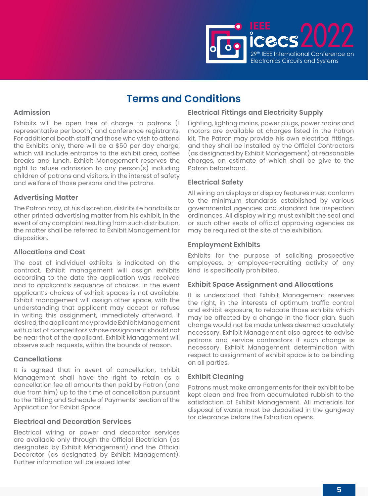

#### **Admission**

Exhibits will be open free of charge to patrons (1 representative per booth) and conference registrants. For additional booth staff and those who wish to attend the Exhibits only, there will be a \$50 per day charge, which will include entrance to the exhibit area, coffee breaks and lunch. Exhibit Management reserves the right to refuse admission to any person(s) including children of patrons and visitors, in the interest of safety and welfare of those persons and the patrons.

#### **Advertising Matter**

The Patron may, at his discretion, distribute handbills or other printed advertising matter from his exhibit. In the event of any complaint resulting from such distribution, the matter shall be referred to Exhibit Management for disposition.

#### **Allocations and Cost**

The cost of individual exhibits is indicated on the contract. Exhibit management will assign exhibits according to the date the application was received and to applicant's sequence of choices, in the event applicant's choices of exhibit spaces is not available. Exhibit management will assign other space, with the understanding that applicant may accept or refuse in writing this assignment, immediately afterward. If desired, the applicant may provide Exhibit Management with a list of competitors whose assignment should not be near that of the applicant. Exhibit Management will observe such requests, within the bounds of reason.

#### **Cancellations**

It is agreed that in event of cancellation, Exhibit Management shall have the right to retain as a cancellation fee all amounts then paid by Patron (and due from him) up to the time of cancellation pursuant to the "Billing and Schedule of Payments" section of the Application for Exhibit Space.

#### **Electrical and Decoration Services**

Electrical wiring or power and decorator services are available only through the Official Electrician (as designated by Exhibit Management) and the Official Decorator (as designated by Exhibit Management). Further information will be issued later.

#### **Electrical Fittings and Electricity Supply**

Lighting, lighting mains, power plugs, power mains and motors are available at charges listed in the Patron kit. The Patron may provide his own electrical fittings, and they shall be installed by the Official Contractors (as designated by Exhibit Management) at reasonable charges, an estimate of which shall be give to the Patron beforehand.

#### **Electrical Safety**

All wiring on displays or display features must conform to the minimum standards established by various governmental agencies and standard fire inspection ordinances. All display wiring must exhibit the seal and or such other seals of official approving agencies as may be required at the site of the exhibition.

#### **Employment Exhibits**

Exhibits for the purpose of soliciting prospective employees, or employee-recruiting activity of any kind is specifically prohibited.

#### **Exhibit Space Assignment and Allocations**

It is understood that Exhibit Management reserves the right, in the interests of optimum traffic control and exhibit exposure, to relocate those exhibits which may be affected by a change in the floor plan. Such change would not be made unless deemed absolutely necessary. Exhibit Management also agrees to advise patrons and service contractors if such change is necessary. Exhibit Management determination with respect to assignment of exhibit space is to be binding on all parties.

#### **Exhibit Cleaning**

Patrons must make arrangements for their exhibit to be kept clean and free from accumulated rubbish to the satisfaction of Exhibit Management. All materials for disposal of waste must be deposited in the gangway for clearance before the Exhibition opens.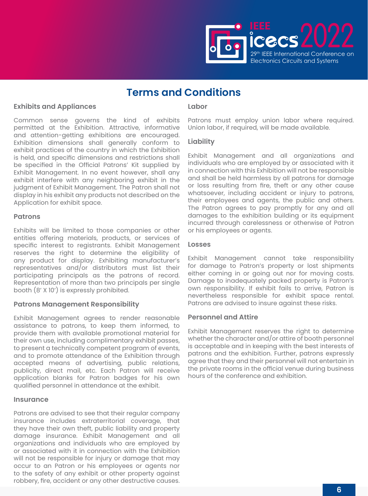

#### **Exhibits and Appliances**

Common sense governs the kind of exhibits permitted at the Exhibition. Attractive, informative and attention-getting exhibitions are encouraged. Exhibition dimensions shall generally conform to exhibit practices of the country in which the Exhibition is held, and specific dimensions and restrictions shall be specified in the Official Patrons' Kit supplied by Exhibit Management. In no event however, shall any exhibit interfere with any neighboring exhibit in the judgment of Exhibit Management. The Patron shall not display in his exhibit any products not described on the Application for exhibit space.

#### **Patrons**

Exhibits will be limited to those companies or other entities offering materials, products, or services of specific interest to registrants. Exhibit Management reserves the right to determine the eligibility of any product for display. Exhibiting manufacturer's representatives and/or distributors must list their participating principals as the patrons of record. Representation of more than two principals per single booth (8' X 10') is expressly prohibited.

#### **Patrons Management Responsibility**

Exhibit Management agrees to render reasonable assistance to patrons, to keep them informed, to provide them with available promotional material for their own use, including complimentary exhibit passes, to present a technically competent program of events, and to promote attendance of the Exhibition through accepted means of advertising, public relations, publicity, direct mail, etc. Each Patron will receive application blanks for Patron badges for his own qualified personnel in attendance at the exhibit.

#### **Insurance**

Patrons are advised to see that their regular company insurance includes extraterritorial coverage, that they have their own theft, public liability and property damage insurance. Exhibit Management and all organizations and individuals who are employed by or associated with it in connection with the Exhibition will not be responsible for injury or damage that may occur to an Patron or his employees or agents nor to the safety of any exhibit or other property against robbery, fire, accident or any other destructive causes.

#### **Labor**

Patrons must employ union labor where required. Union labor, if required, will be made available.

#### **Liability**

Exhibit Management and all organizations and individuals who are employed by or associated with it in connection with this Exhibition will not be responsible and shall be held harmless by all patrons for damage or loss resulting from fire, theft or any other cause whatsoever, including accident or injury to patrons, their employees and agents, the public and others. The Patron agrees to pay promptly for any and all damages to the exhibition building or its equipment incurred through carelessness or otherwise of Patron or his employees or agents.

#### **Losses**

Exhibit Management cannot take responsibility for damage to Patron's property or lost shipments either coming in or going out nor for moving costs. Damage to inadequately packed property is Patron's own responsibility. If exhibit fails to arrive, Patron is nevertheless responsible for exhibit space rental. Patrons are advised to insure against these risks.

#### **Personnel and Attire**

Exhibit Management reserves the right to determine whether the character and/or attire of booth personnel is acceptable and in keeping with the best interests of patrons and the exhibition. Further, patrons expressly agree that they and their personnel will not entertain in the private rooms in the official venue during business hours of the conference and exhibition.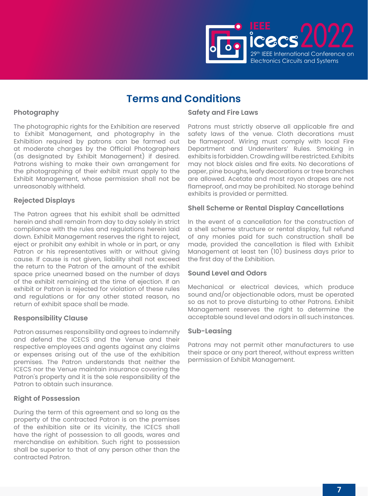

#### **Photography**

The photographic rights for the Exhibition are reserved to Exhibit Management, and photography in the Exhibition required by patrons can be farmed out at moderate charges by the Official Photographers (as designated by Exhibit Management) if desired. Patrons wishing to make their own arrangement for the photographing of their exhibit must apply to the Exhibit Management, whose permission shall not be unreasonably withheld.

#### **Rejected Displays**

The Patron agrees that his exhibit shall be admitted herein and shall remain from day to day solely in strict compliance with the rules and regulations herein laid down. Exhibit Management reserves the right to reject, eject or prohibit any exhibit in whole or in part, or any Patron or his representatives with or without giving cause. If cause is not given, liability shall not exceed the return to the Patron of the amount of the exhibit space price unearned based on the number of days of the exhibit remaining at the time of ejection. If an exhibit or Patron is rejected for violation of these rules and regulations or for any other stated reason, no return of exhibit space shall be made.

#### **Responsibility Clause**

Patron assumes responsibility and agrees to indemnify and defend the ICECS and the Venue and their respective employees and agents against any claims or expenses arising out of the use of the exhibition premises. The Patron understands that neither the ICECS nor the Venue maintain insurance covering the Patron's property and it is the sole responsibility of the Patron to obtain such insurance.

#### **Right of Possession**

During the term of this agreement and so long as the property of the contracted Patron is on the premises of the exhibition site or its vicinity, the ICECS shall have the right of possession to all goods, wares and merchandise on exhibition. Such right to possession shall be superior to that of any person other than the contracted Patron.

#### **Safety and Fire Laws**

Patrons must strictly observe all applicable fire and safety laws of the venue. Cloth decorations must be flameproof. Wiring must comply with local Fire Department and Underwriters' Rules. Smoking in exhibits is forbidden. Crowding will be restricted. Exhibits may not block aisles and fire exits. No decorations of paper, pine boughs, leafy decorations or tree branches are allowed. Acetate and most rayon drapes are not flameproof, and may be prohibited. No storage behind exhibits is provided or permitted.

#### **Shell Scheme or Rental Display Cancellations**

In the event of a cancellation for the construction of a shell scheme structure or rental display, full refund of any monies paid for such construction shall be made, provided the cancellation is filed with Exhibit Management at least ten (10) business days prior to the first day of the Exhibition.

#### **Sound Level and Odors**

Mechanical or electrical devices, which produce sound and/or objectionable odors, must be operated so as not to prove disturbing to other Patrons. Exhibit Management reserves the right to determine the acceptable sound level and odors in all such instances.

#### **Sub-Leasing**

Patrons may not permit other manufacturers to use their space or any part thereof, without express written permission of Exhibit Management.